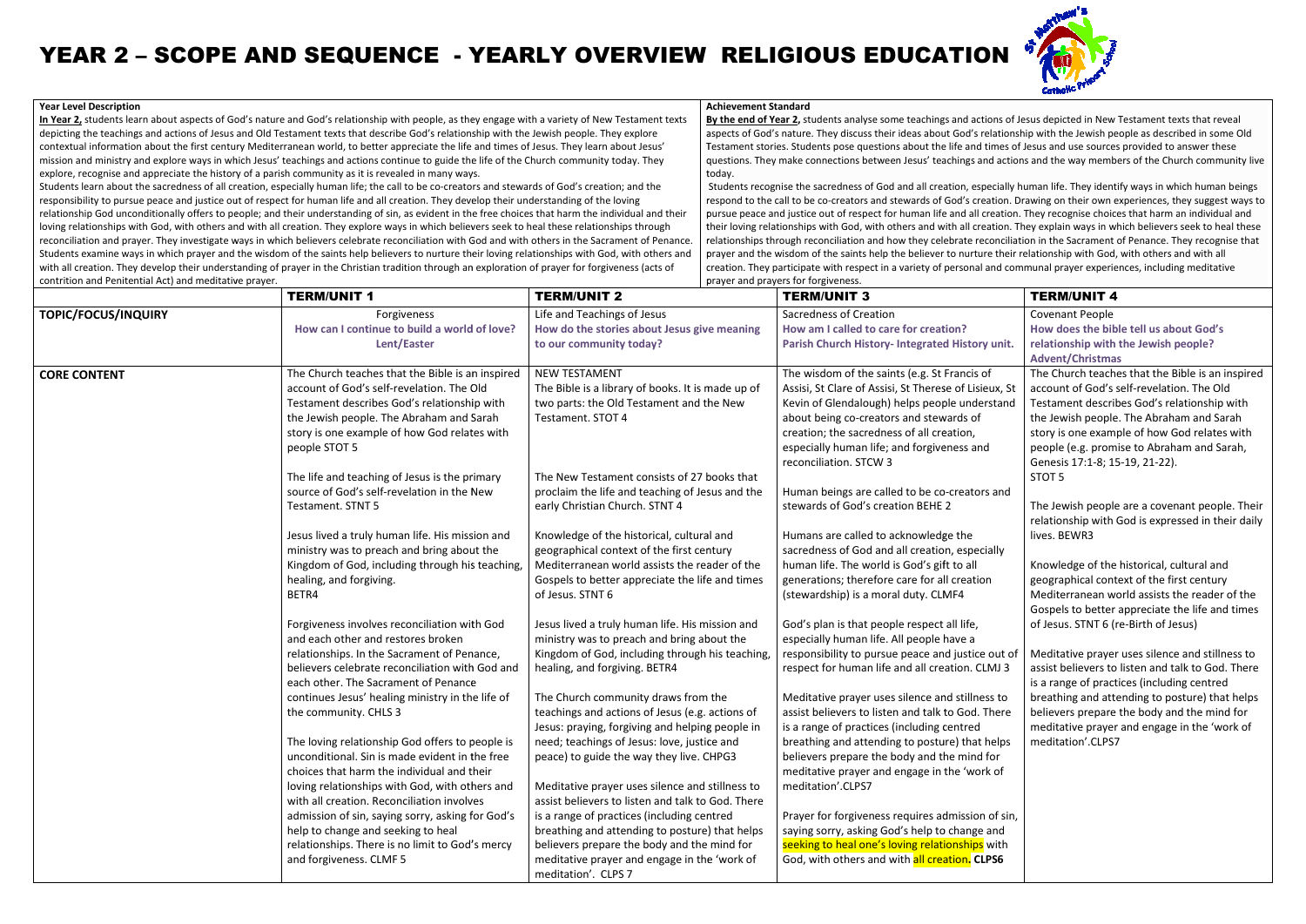**In Year 2,** students learn about aspects of God's nature and God's relationship with people, as they engage with a variety of New Testament texts <u>In Year 2,</u> students learn about aspects of God's nature and God's relationship with people, as they engage with a variety of New Testamen<sup>.</sup><br>depicting the teachings and actions of Jesus and Old Testament texts that descr contextual information about the first century Mediterranean world, to better appreciate the life and times of Jesus. They learn about Jesus' contextual information about the first century Mediterranean world, to better appreciate the life and times of Jesus. They learn about Jesus'<br>mission and ministry and explore ways in which Jesus' teachings and actions cont explore, recognise and appreciate the history of a parish community as it is revealed in many ways.

Students learn about the sacredness of all creation, especially human life; the call to be co-creators and stewards of God's creation; and the responsibility to pursue peace and justice out of respect for human life and all creation. They develop their understanding of the loving relationship God unconditionally offers to people; and their understanding of sin, as evident in the free choices that harm the individual and their loving relationships with God, with others and with all creation. They explore ways in which believers seek to heal these relationships through loving relationships with God, with others and with all creation. They explore ways in which believers seek to heal these relationships through<br>reconciliation and prayer. They investigate ways in which believers celebrate Students examine ways in which prayer and the wisdom of the saints help believers to nurture their loving relationships with God, with others and with all creation. They develop their understanding of prayer in the Christian tradition through an exploration of prayer for forgiveness (acts of<br>contrition and Penitential Act) and meditative praver. contrition and Penitential Act) and meditative prayer.all to be co-creators and stewards of God's creation; and the<br>reation. They develop their understanding of the loving<br>n, as evident in the free choices that harm the individual and th<br>ays in which believers seek to heal th

## **Year Level Description**

## YEAR 2 – SCOPE AND SEQUENCE - YEARLY OVERVIEW RELIGIOUS EDUCATION

**Achievement Standard**

 **By the end of Year 22,** students analyse some teachings and actions of Jesus depicted in New Testament texts that reveal that aspects of God's nature. They discuss their ideas about God's relationship with the Jewish people as described in some Old Testament stories. Students pose questions about the life and times of Jesus and use sources provided to answer these questions. They make connections between Jesus' teachings and actions and the way members of the Church community live today.

respond to the call to be co-creators and stewards of God's creation. Drawing on their own experiences, they suggest ways to pursue peace and justice out of respect for human life and all creation. They recognise choices that harm an individual and their loving relationships with God, with others and with all creation. They explain ways in which believers seek to heal these relationships through reconciliation and how they celebrate reconciliation in the Sacrament of Penance. They recognise that prayer and the wisdom of the saints help the believer to nurture their relationship with God, with others and with all creation. They participate with respect in a variety of personal and communal prayer experiences, including meditative prayer and prayers for forgiveness.Students recognise the sacredness of God and all creation, especially human life. They identify ways in which human beings ons. They make connections betweens.<br>This recognise the sacredness of G<br>and to the call to be co-creators and<br>the peace and justice out of respect<br>oving relationships with God, with<br>anships through reconciliation and<br>and t stories. Students pose questions about the life and times of Jesus and use sources provided to answer these<br>They make connections between Jesus' teachings and actions and the way members of the Church community live<br>ecogni vith God, with others and with all creation. They explain ways in which believers seek to heal<br>nciliation and how they celebrate reconciliation in the Sacrament of Penance. They recognise<br>the saints help the believer to nu

| ond die 1 and 1 and direction rice, and medicative profers | <b>TERM/UNIT 1</b>                                                                          | <b>TERM/UNIT 2</b>                                | proyer and proyers for rorgiveness.<br><b>TERM/UNIT 3</b>                          | <b>TERM/UNIT 4</b>                                |
|------------------------------------------------------------|---------------------------------------------------------------------------------------------|---------------------------------------------------|------------------------------------------------------------------------------------|---------------------------------------------------|
| <b>TOPIC/FOCUS/INQUIRY</b>                                 | Forgiveness                                                                                 | Life and Teachings of Jesus                       | Sacredness of Creation                                                             | Covenant People                                   |
|                                                            | How can I continue to build a world of love?                                                | How do the stories about Jesus give meaning       | How am I called to care for creation?                                              | How does the bible tell us about God's            |
|                                                            | Lent/Easter                                                                                 | to our community today?                           | Parish Church History- Integrated History unit.                                    | relationship with the Jewish people?              |
|                                                            |                                                                                             |                                                   |                                                                                    | <b>Advent/Christmas</b>                           |
| <b>CORE CONTENT</b>                                        | The Church teaches that the Bible is an inspired                                            | <b>NEW TESTAMENT</b>                              | The wisdom of the saints (e.g. St Francis of                                       | The Church teaches that the Bible is an inspired  |
|                                                            | account of God's self-revelation. The Old                                                   | The Bible is a library of books. It is made up of | Assisi, St Clare of Assisi, St Therese of Lisieux, St                              | account of God's self-revelation. The Old         |
|                                                            | Testament describes God's relationship with                                                 | two parts: the Old Testament and the New          | Kevin of Glendalough) helps people understand                                      | Testament describes God's relationship with       |
|                                                            | the Jewish people. The Abraham and Sarah                                                    | Testament. STOT 4                                 | about being co-creators and stewards of                                            | the Jewish people. The Abraham and Sarah          |
|                                                            | story is one example of how God relates with                                                |                                                   | creation; the sacredness of all creation,                                          | story is one example of how God relates with      |
|                                                            | people STOT 5                                                                               |                                                   | especially human life; and forgiveness and                                         | people (e.g. promise to Abraham and Sarah,        |
|                                                            |                                                                                             |                                                   | reconciliation. STCW 3                                                             | Genesis 17:1-8; 15-19, 21-22).                    |
|                                                            | The life and teaching of Jesus is the primary<br>source of God's self-revelation in the New | The New Testament consists of 27 books that       |                                                                                    | STOT <sub>5</sub>                                 |
|                                                            | Testament. STNT 5                                                                           | proclaim the life and teaching of Jesus and the   | Human beings are called to be co-creators and<br>stewards of God's creation BEHE 2 | The Jewish people are a covenant people. Their    |
|                                                            |                                                                                             | early Christian Church. STNT 4                    |                                                                                    | relationship with God is expressed in their daily |
|                                                            | Jesus lived a truly human life. His mission and                                             | Knowledge of the historical, cultural and         | Humans are called to acknowledge the                                               | lives. BEWR3                                      |
|                                                            | ministry was to preach and bring about the                                                  | geographical context of the first century         | sacredness of God and all creation, especially                                     |                                                   |
|                                                            | Kingdom of God, including through his teaching,                                             | Mediterranean world assists the reader of the     | human life. The world is God's gift to all                                         | Knowledge of the historical, cultural and         |
|                                                            | healing, and forgiving.                                                                     | Gospels to better appreciate the life and times   | generations; therefore care for all creation                                       | geographical context of the first century         |
|                                                            | BETR4                                                                                       | of Jesus. STNT 6                                  | (stewardship) is a moral duty. CLMF4                                               | Mediterranean world assists the reader of the     |
|                                                            |                                                                                             |                                                   |                                                                                    | Gospels to better appreciate the life and times   |
|                                                            | Forgiveness involves reconciliation with God                                                | Jesus lived a truly human life. His mission and   | God's plan is that people respect all life,                                        | of Jesus. STNT 6 (re-Birth of Jesus)              |
|                                                            | and each other and restores broken                                                          | ministry was to preach and bring about the        | especially human life. All people have a                                           |                                                   |
|                                                            | relationships. In the Sacrament of Penance,                                                 | Kingdom of God, including through his teaching,   | responsibility to pursue peace and justice out of                                  | Meditative prayer uses silence and stillness to   |
|                                                            | believers celebrate reconciliation with God and                                             | healing, and forgiving. BETR4                     | respect for human life and all creation. CLMJ 3                                    | assist believers to listen and talk to God. There |
|                                                            | each other. The Sacrament of Penance                                                        |                                                   |                                                                                    | is a range of practices (including centred        |
|                                                            | continues Jesus' healing ministry in the life of                                            | The Church community draws from the               | Meditative prayer uses silence and stillness to                                    | breathing and attending to posture) that helps    |
|                                                            | the community. CHLS 3                                                                       | teachings and actions of Jesus (e.g. actions of   | assist believers to listen and talk to God. There                                  | believers prepare the body and the mind for       |
|                                                            |                                                                                             | Jesus: praying, forgiving and helping people in   | is a range of practices (including centred                                         | meditative prayer and engage in the 'work of      |
|                                                            | The loving relationship God offers to people is                                             | need; teachings of Jesus: love, justice and       | breathing and attending to posture) that helps                                     | meditation'.CLPS7                                 |
|                                                            | unconditional. Sin is made evident in the free                                              | peace) to guide the way they live. CHPG3          | believers prepare the body and the mind for                                        |                                                   |
|                                                            | choices that harm the individual and their                                                  |                                                   | meditative prayer and engage in the 'work of                                       |                                                   |
|                                                            | loving relationships with God, with others and                                              | Meditative prayer uses silence and stillness to   | meditation'.CLPS7                                                                  |                                                   |
|                                                            | with all creation. Reconciliation involves                                                  | assist believers to listen and talk to God. There |                                                                                    |                                                   |
|                                                            | admission of sin, saying sorry, asking for God's                                            | is a range of practices (including centred        | Prayer for forgiveness requires admission of sin,                                  |                                                   |
|                                                            | help to change and seeking to heal                                                          | breathing and attending to posture) that helps    | saying sorry, asking God's help to change and                                      |                                                   |
|                                                            | relationships. There is no limit to God's mercy                                             | believers prepare the body and the mind for       | seeking to heal one's loving relationships with                                    |                                                   |
|                                                            | and forgiveness. CLMF 5                                                                     | meditative prayer and engage in the 'work of      | God, with others and with all creation. CLPS6                                      |                                                   |
|                                                            |                                                                                             | meditation'. CLPS 7                               |                                                                                    |                                                   |